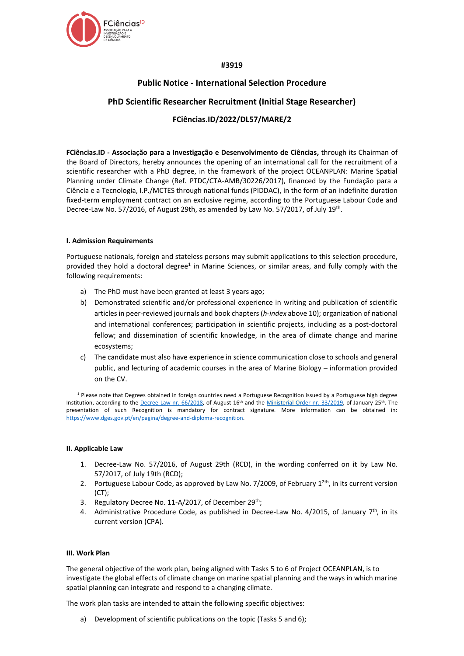

## **#3919**

# **Public Notice - International Selection Procedure**

## **PhD Scientific Researcher Recruitment (Initial Stage Researcher)**

# **FCiências.ID/2022/DL57/MARE/2**

**FCiências.ID - Associação para a Investigação e Desenvolvimento de Ciências,** through its Chairman of the Board of Directors, hereby announces the opening of an international call for the recruitment of a scientific researcher with a PhD degree, in the framework of the project OCEANPLAN: Marine Spatial Planning under Climate Change (Ref. PTDC/CTA-AMB/30226/2017), financed by the Fundação para a Ciência e a Tecnologia, I.P./MCTES through national funds (PIDDAC), in the form of an indefinite duration fixed-term employment contract on an exclusive regime, according to the Portuguese Labour Code and Decree-Law No. 57/2016, of August 29th, as amended by Law No. 57/2017, of July 19th.

#### **I. Admission Requirements**

Portuguese nationals, foreign and stateless persons may submit applications to this selection procedure, provided they hold a doctoral degree<sup>1</sup> in Marine Sciences, or similar areas, and fully comply with the following requirements:

- a) The PhD must have been granted at least 3 years ago;
- b) Demonstrated scientific and/or professional experience in writing and publication of scientific articles in peer-reviewed journals and book chapters (*h-index* above 10); organization of national and international conferences; participation in scientific projects, including as a post-doctoral fellow; and dissemination of scientific knowledge, in the area of climate change and marine ecosystems;
- c) The candidate must also have experience in science communication close to schools and general public, and lecturing of academic courses in the area of Marine Biology – information provided on the CV.

<sup>1</sup> Please note that Degrees obtained in foreign countries need a Portuguese Recognition issued by a Portuguese high degree Institution, according to the [Decree-Law nr. 66/2018,](https://dre.pt/web/guest/pesquisa/-/search/116068880/details/maximized?res=en) of August 16<sup>th</sup> and the [Ministerial Order nr. 33/2019,](https://dre.pt/web/guest/pesquisa/-/search/118484592/details/normal?q=portaria+33%2F2019) of January 25<sup>th</sup>. The presentation of such Recognition is mandatory for contract signature. More information can be obtained in: [https://www.dges.gov.pt/en/pagina/degree-and-diploma-recognition.](https://www.dges.gov.pt/en/pagina/degree-and-diploma-recognition)

#### **II. Applicable Law**

- 1. Decree-Law No. 57/2016, of August 29th (RCD), in the wording conferred on it by Law No. 57/2017, of July 19th (RCD);
- 2. Portuguese Labour Code, as approved by Law No. 7/2009, of February  $1^{2th}$ , in its current version (CT);
- 3. Regulatory Decree No. 11-A/2017, of December 29<sup>th</sup>;
- 4. Administrative Procedure Code, as published in Decree-Law No. 4/2015, of January  $7<sup>th</sup>$ , in its current version (CPA).

#### **III. Work Plan**

The general objective of the work plan, being aligned with Tasks 5 to 6 of Project OCEANPLAN, is to investigate the global effects of climate change on marine spatial planning and the ways in which marine spatial planning can integrate and respond to a changing climate.

The work plan tasks are intended to attain the following specific objectives:

a) Development of scientific publications on the topic (Tasks 5 and 6);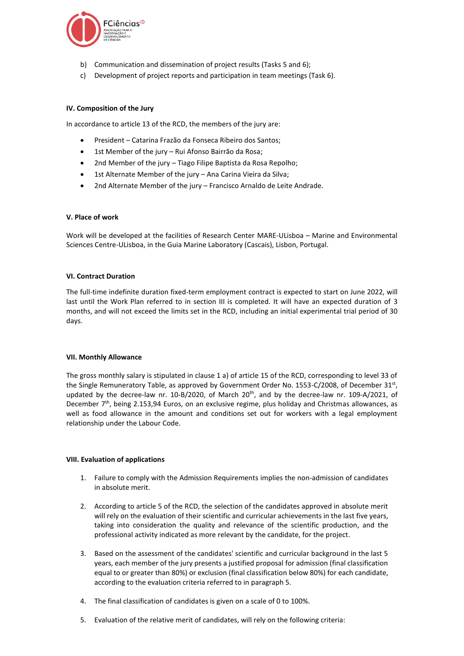

- b) Communication and dissemination of project results (Tasks 5 and 6);
- c) Development of project reports and participation in team meetings (Task 6).

### **IV. Composition of the Jury**

In accordance to article 13 of the RCD, the members of the jury are:

- President Catarina Frazão da Fonseca Ribeiro dos Santos;
- 1st Member of the jury Rui Afonso Bairrão da Rosa;
- 2nd Member of the jury Tiago Filipe Baptista da Rosa Repolho;
- 1st Alternate Member of the jury Ana Carina Vieira da Silva;
- 2nd Alternate Member of the jury Francisco Arnaldo de Leite Andrade.

#### **V. Place of work**

Work will be developed at the facilities of Research Center MARE-ULisboa – Marine and Environmental Sciences Centre-ULisboa, in the Guia Marine Laboratory (Cascais), Lisbon, Portugal.

#### **VI. Contract Duration**

The full-time indefinite duration fixed-term employment contract is expected to start on June 2022, will last until the Work Plan referred to in section III is completed. It will have an expected duration of 3 months, and will not exceed the limits set in the RCD, including an initial experimental trial period of 30 days.

#### **VII. Monthly Allowance**

The gross monthly salary is stipulated in clause 1 a) of article 15 of the RCD, corresponding to level 33 of the Single Remuneratory Table, as approved by Government Order No. 1553-C/2008, of December 31st, updated by the decree-law nr. 10-B/2020, of March  $20<sup>th</sup>$ , and by the decree-law nr. 109-A/2021, of December 7<sup>th</sup>, being 2.153,94 Euros, on an exclusive regime, plus holiday and Christmas allowances, as well as food allowance in the amount and conditions set out for workers with a legal employment relationship under the Labour Code.

#### **VIII. Evaluation of applications**

- 1. Failure to comply with the Admission Requirements implies the non-admission of candidates in absolute merit.
- 2. According to article 5 of the RCD, the selection of the candidates approved in absolute merit will rely on the evaluation of their scientific and curricular achievements in the last five years, taking into consideration the quality and relevance of the scientific production, and the professional activity indicated as more relevant by the candidate, for the project.
- 3. Based on the assessment of the candidates' scientific and curricular background in the last 5 years, each member of the jury presents a justified proposal for admission (final classification equal to or greater than 80%) or exclusion (final classification below 80%) for each candidate, according to the evaluation criteria referred to in paragraph 5.
- 4. The final classification of candidates is given on a scale of 0 to 100%.
- 5. Evaluation of the relative merit of candidates, will rely on the following criteria: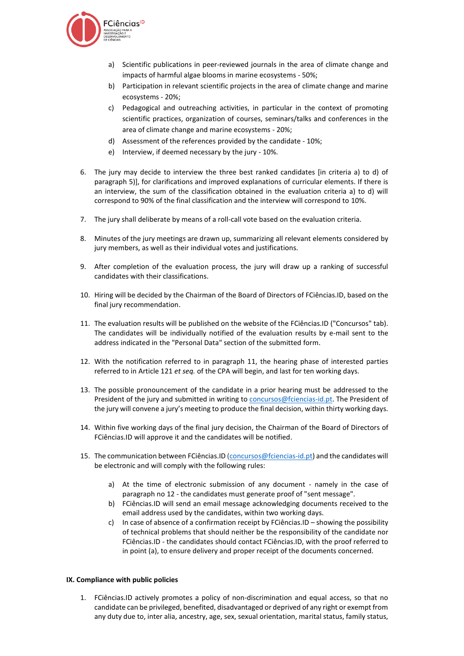

- a) Scientific publications in peer-reviewed journals in the area of climate change and impacts of harmful algae blooms in marine ecosystems - 50%;
- b) Participation in relevant scientific projects in the area of climate change and marine ecosystems - 20%;
- c) Pedagogical and outreaching activities, in particular in the context of promoting scientific practices, organization of courses, seminars/talks and conferences in the area of climate change and marine ecosystems - 20%;
- d) Assessment of the references provided by the candidate 10%;
- e) Interview, if deemed necessary by the jury 10%.
- 6. The jury may decide to interview the three best ranked candidates [in criteria a) to d) of paragraph 5)], for clarifications and improved explanations of curricular elements. If there is an interview, the sum of the classification obtained in the evaluation criteria a) to d) will correspond to 90% of the final classification and the interview will correspond to 10%.
- 7. The jury shall deliberate by means of a roll-call vote based on the evaluation criteria.
- 8. Minutes of the jury meetings are drawn up, summarizing all relevant elements considered by jury members, as well as their individual votes and justifications.
- 9. After completion of the evaluation process, the jury will draw up a ranking of successful candidates with their classifications.
- 10. Hiring will be decided by the Chairman of the Board of Directors of FCiências.ID, based on the final jury recommendation.
- 11. The evaluation results will be published on the website of the FCiências.ID ("Concursos" tab). The candidates will be individually notified of the evaluation results by e-mail sent to the address indicated in the "Personal Data" section of the submitted form.
- 12. With the notification referred to in paragraph 11, the hearing phase of interested parties referred to in Article 121 *et seq.* of the CPA will begin, and last for ten working days.
- 13. The possible pronouncement of the candidate in a prior hearing must be addressed to the President of the jury and submitted in writing to [concursos@fciencias-id.pt.](mailto:concursos@fciencias-id.pt) The President of the jury will convene a jury's meeting to produce the final decision, within thirty working days.
- 14. Within five working days of the final jury decision, the Chairman of the Board of Directors of FCiências.ID will approve it and the candidates will be notified.
- 15. The communication between FCiências.ID [\(concursos@fciencias-id.pt\)](mailto:concursos@fciencias-id.pt) and the candidates will be electronic and will comply with the following rules:
	- a) At the time of electronic submission of any document namely in the case of paragraph no 12 - the candidates must generate proof of "sent message".
	- b) FCiências.ID will send an email message acknowledging documents received to the email address used by the candidates, within two working days.
	- c) In case of absence of a confirmation receipt by FCiências.ID showing the possibility of technical problems that should neither be the responsibility of the candidate nor FCiências.ID - the candidates should contact FCiências.ID, with the proof referred to in point (a), to ensure delivery and proper receipt of the documents concerned.

#### **IX. Compliance with public policies**

1. FCiências.ID actively promotes a policy of non-discrimination and equal access, so that no candidate can be privileged, benefited, disadvantaged or deprived of any right or exempt from any duty due to, inter alia, ancestry, age, sex, sexual orientation, marital status, family status,